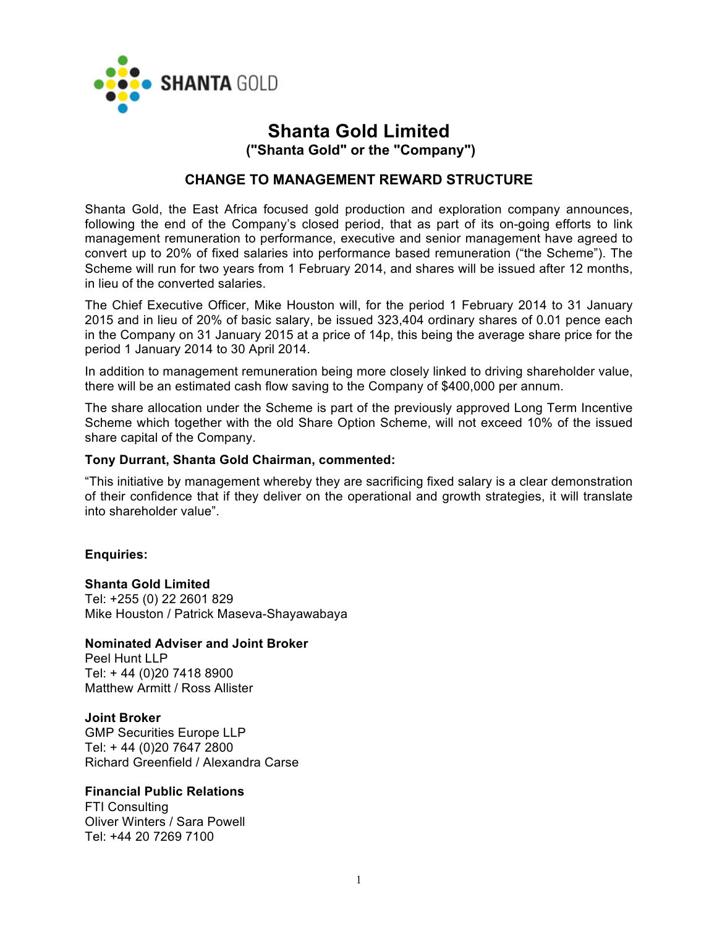

# **Shanta Gold Limited ("Shanta Gold" or the "Company")**

## **CHANGE TO MANAGEMENT REWARD STRUCTURE**

Shanta Gold, the East Africa focused gold production and exploration company announces, following the end of the Company's closed period, that as part of its on-going efforts to link management remuneration to performance, executive and senior management have agreed to convert up to 20% of fixed salaries into performance based remuneration ("the Scheme"). The Scheme will run for two years from 1 February 2014, and shares will be issued after 12 months, in lieu of the converted salaries.

The Chief Executive Officer, Mike Houston will, for the period 1 February 2014 to 31 January 2015 and in lieu of 20% of basic salary, be issued 323,404 ordinary shares of 0.01 pence each in the Company on 31 January 2015 at a price of 14p, this being the average share price for the period 1 January 2014 to 30 April 2014.

In addition to management remuneration being more closely linked to driving shareholder value, there will be an estimated cash flow saving to the Company of \$400,000 per annum.

The share allocation under the Scheme is part of the previously approved Long Term Incentive Scheme which together with the old Share Option Scheme, will not exceed 10% of the issued share capital of the Company.

#### **Tony Durrant, Shanta Gold Chairman, commented:**

"This initiative by management whereby they are sacrificing fixed salary is a clear demonstration of their confidence that if they deliver on the operational and growth strategies, it will translate into shareholder value".

### **Enquiries:**

**Shanta Gold Limited**  Tel: +255 (0) 22 2601 829 Mike Houston / Patrick Maseva-Shayawabaya

#### **Nominated Adviser and Joint Broker**

Peel Hunt LLP Tel: + 44 (0)20 7418 8900 Matthew Armitt / Ross Allister

#### **Joint Broker**

GMP Securities Europe LLP Tel: + 44 (0)20 7647 2800 Richard Greenfield / Alexandra Carse

#### **Financial Public Relations**

FTI Consulting Oliver Winters / Sara Powell Tel: +44 20 7269 7100